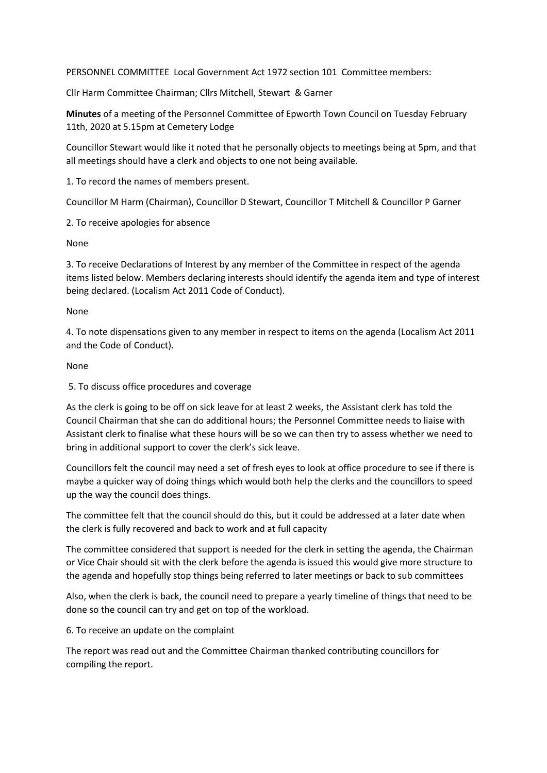PERSONNEL COMMITTEE Local Government Act 1972 section 101 Committee members:

Cllr Harm Committee Chairman; Cllrs Mitchell, Stewart & Garner

**Minutes** of a meeting of the Personnel Committee of Epworth Town Council on Tuesday February 11th, 2020 at 5.15pm at Cemetery Lodge

Councillor Stewart would like it noted that he personally objects to meetings being at 5pm, and that all meetings should have a clerk and objects to one not being available.

1. To record the names of members present.

Councillor M Harm (Chairman), Councillor D Stewart, Councillor T Mitchell & Councillor P Garner

2. To receive apologies for absence

None

3. To receive Declarations of Interest by any member of the Committee in respect of the agenda items listed below. Members declaring interests should identify the agenda item and type of interest being declared. (Localism Act 2011 Code of Conduct).

None

4. To note dispensations given to any member in respect to items on the agenda (Localism Act 2011 and the Code of Conduct).

None

5. To discuss office procedures and coverage

As the clerk is going to be off on sick leave for at least 2 weeks, the Assistant clerk has told the Council Chairman that she can do additional hours; the Personnel Committee needs to liaise with Assistant clerk to finalise what these hours will be so we can then try to assess whether we need to bring in additional support to cover the clerk's sick leave.

Councillors felt the council may need a set of fresh eyes to look at office procedure to see if there is maybe a quicker way of doing things which would both help the clerks and the councillors to speed up the way the council does things.

The committee felt that the council should do this, but it could be addressed at a later date when the clerk is fully recovered and back to work and at full capacity

The committee considered that support is needed for the clerk in setting the agenda, the Chairman or Vice Chair should sit with the clerk before the agenda is issued this would give more structure to the agenda and hopefully stop things being referred to later meetings or back to sub committees

Also, when the clerk is back, the council need to prepare a yearly timeline of things that need to be done so the council can try and get on top of the workload.

6. To receive an update on the complaint

The report was read out and the Committee Chairman thanked contributing councillors for compiling the report.